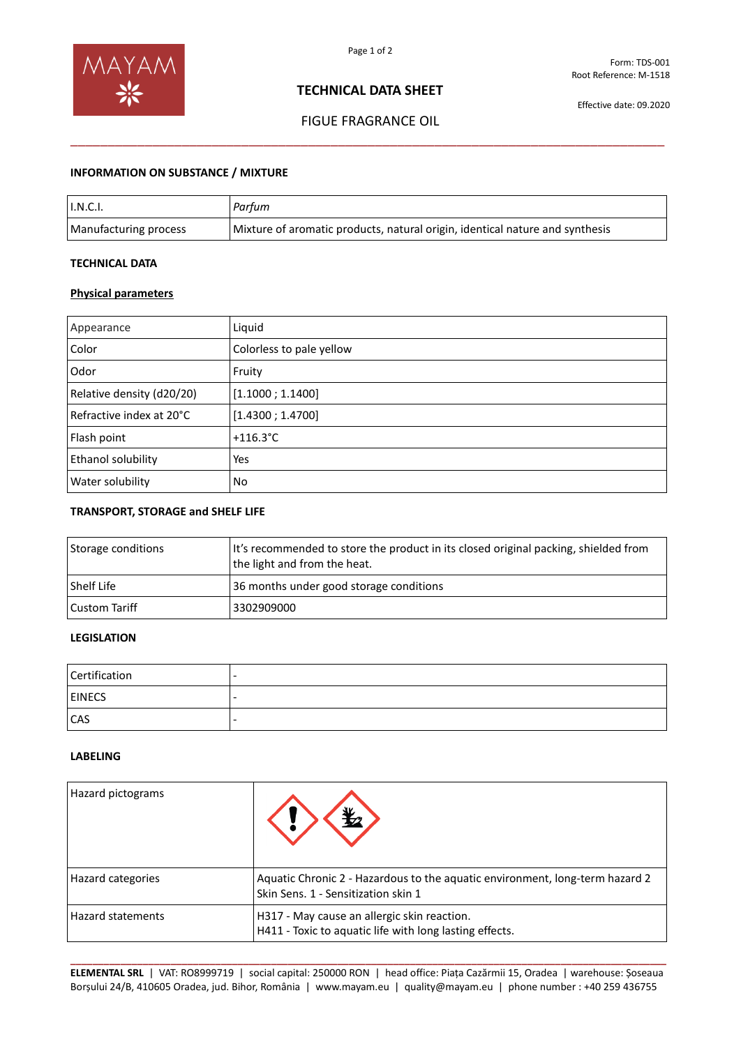

# **TECHNICAL DATA SHEET**

# FIGUE FRAGRANCE OIL \_\_\_\_\_\_\_\_\_\_\_\_\_\_\_\_\_\_\_\_\_\_\_\_\_\_\_\_\_\_\_\_\_\_\_\_\_\_\_\_\_\_\_\_\_\_\_\_\_\_\_\_\_\_\_\_\_\_\_\_\_\_\_\_\_\_\_\_\_\_\_\_\_\_\_\_\_\_\_\_

# **INFORMATION ON SUBSTANCE / MIXTURE**

| I.N.C.I.              | Parfum                                                                       |
|-----------------------|------------------------------------------------------------------------------|
| Manufacturing process | Mixture of aromatic products, natural origin, identical nature and synthesis |

### **TECHNICAL DATA**

# **Physical parameters**

| Appearance                | Liquid                   |  |
|---------------------------|--------------------------|--|
| Color                     | Colorless to pale yellow |  |
| Odor                      | Fruity                   |  |
| Relative density (d20/20) | [1.1000; 1.1400]         |  |
| Refractive index at 20°C  | [1.4300; 1.4700]         |  |
| Flash point               | $+116.3^{\circ}$ C       |  |
| Ethanol solubility        | Yes                      |  |
| Water solubility          | No                       |  |

#### **TRANSPORT, STORAGE and SHELF LIFE**

| Storage conditions | It's recommended to store the product in its closed original packing, shielded from<br>the light and from the heat. |
|--------------------|---------------------------------------------------------------------------------------------------------------------|
| Shelf Life         | 36 months under good storage conditions                                                                             |
| Custom Tariff      | 3302909000                                                                                                          |

# **LEGISLATION**

| Certification |  |
|---------------|--|
| <b>EINECS</b> |  |
| <b>CAS</b>    |  |

## **LABELING**

| Hazard pictograms        |                                                                                                                     |
|--------------------------|---------------------------------------------------------------------------------------------------------------------|
| Hazard categories        | Aquatic Chronic 2 - Hazardous to the aquatic environment, long-term hazard 2<br>Skin Sens. 1 - Sensitization skin 1 |
| <b>Hazard statements</b> | H317 - May cause an allergic skin reaction.<br>H411 - Toxic to aquatic life with long lasting effects.              |

**\_\_\_\_\_\_\_\_\_\_\_\_\_\_\_\_\_\_\_\_\_\_\_\_\_\_\_\_\_\_\_\_\_\_\_\_\_\_\_\_\_\_\_\_\_\_\_\_\_\_\_\_\_\_\_\_\_\_\_\_\_\_\_\_\_\_\_\_\_\_\_\_\_\_\_\_\_\_\_\_\_\_\_\_\_\_\_\_\_\_\_\_\_\_\_\_\_\_\_\_\_\_\_\_\_\_\_ ELEMENTAL SRL** | VAT: RO8999719 | social capital: 250000 RON | head office: Piața Cazărmii 15, Oradea | warehouse: Șoseaua Borșului 24/B, 410605 Oradea, jud. Bihor, România | www.mayam.eu | quality@mayam.eu | phone number : +40 259 436755